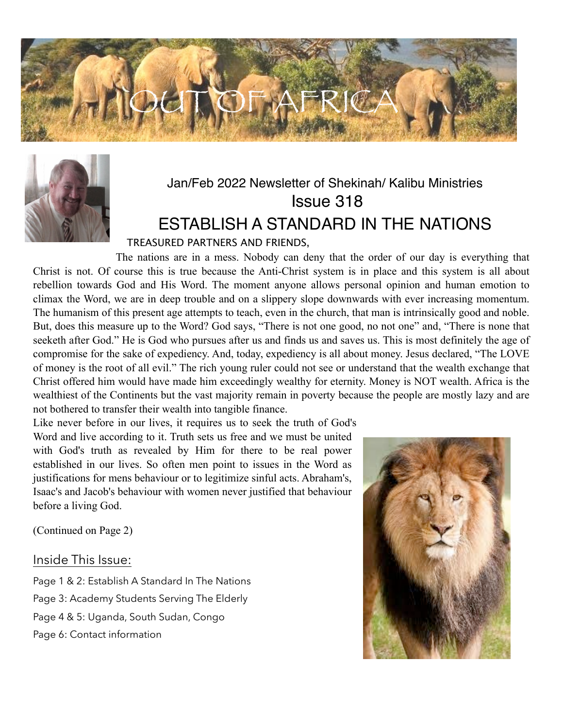



### Jan/Feb 2022 Newsletter of Shekinah/ Kalibu Ministries Issue 318 ESTABLISH A STANDARD IN THE NATIONS

### TREASURED PARTNERS AND FRIENDS,

The nations are in a mess. Nobody can deny that the order of our day is everything that Christ is not. Of course this is true because the Anti-Christ system is in place and this system is all about rebellion towards God and His Word. The moment anyone allows personal opinion and human emotion to climax the Word, we are in deep trouble and on a slippery slope downwards with ever increasing momentum. The humanism of this present age attempts to teach, even in the church, that man is intrinsically good and noble. But, does this measure up to the Word? God says, "There is not one good, no not one" and, "There is none that seeketh after God." He is God who pursues after us and finds us and saves us. This is most definitely the age of compromise for the sake of expediency. And, today, expediency is all about money. Jesus declared, "The LOVE of money is the root of all evil." The rich young ruler could not see or understand that the wealth exchange that Christ offered him would have made him exceedingly wealthy for eternity. Money is NOT wealth. Africa is the wealthiest of the Continents but the vast majority remain in poverty because the people are mostly lazy and are not bothered to transfer their wealth into tangible finance.

Like never before in our lives, it requires us to seek the truth of God's Word and live according to it. Truth sets us free and we must be united with God's truth as revealed by Him for there to be real power established in our lives. So often men point to issues in the Word as justifications for mens behaviour or to legitimize sinful acts. Abraham's, Isaac's and Jacob's behaviour with women never justified that behaviour before a living God.

(Continued on Page 2)

#### Inside This Issue:

Page 1 & 2: Establish A Standard In The Nations Page 3: Academy Students Serving The Elderly Page 4 & 5: Uganda, South Sudan, Congo Page 6: Contact information

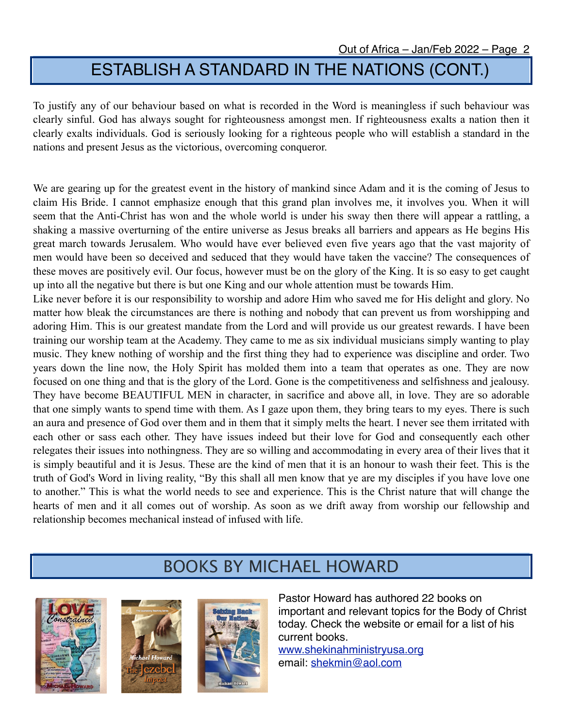# ESTABLISH A STANDARD IN THE NATIONS (CONT.)

To justify any of our behaviour based on what is recorded in the Word is meaningless if such behaviour was clearly sinful. God has always sought for righteousness amongst men. If righteousness exalts a nation then it clearly exalts individuals. God is seriously looking for a righteous people who will establish a standard in the nations and present Jesus as the victorious, overcoming conqueror.

We are gearing up for the greatest event in the history of mankind since Adam and it is the coming of Jesus to claim His Bride. I cannot emphasize enough that this grand plan involves me, it involves you. When it will seem that the Anti-Christ has won and the whole world is under his sway then there will appear a rattling, a shaking a massive overturning of the entire universe as Jesus breaks all barriers and appears as He begins His great march towards Jerusalem. Who would have ever believed even five years ago that the vast majority of men would have been so deceived and seduced that they would have taken the vaccine? The consequences of these moves are positively evil. Our focus, however must be on the glory of the King. It is so easy to get caught up into all the negative but there is but one King and our whole attention must be towards Him.

Like never before it is our responsibility to worship and adore Him who saved me for His delight and glory. No matter how bleak the circumstances are there is nothing and nobody that can prevent us from worshipping and adoring Him. This is our greatest mandate from the Lord and will provide us our greatest rewards. I have been training our worship team at the Academy. They came to me as six individual musicians simply wanting to play music. They knew nothing of worship and the first thing they had to experience was discipline and order. Two years down the line now, the Holy Spirit has molded them into a team that operates as one. They are now focused on one thing and that is the glory of the Lord. Gone is the competitiveness and selfishness and jealousy. They have become BEAUTIFUL MEN in character, in sacrifice and above all, in love. They are so adorable that one simply wants to spend time with them. As I gaze upon them, they bring tears to my eyes. There is such an aura and presence of God over them and in them that it simply melts the heart. I never see them irritated with each other or sass each other. They have issues indeed but their love for God and consequently each other relegates their issues into nothingness. They are so willing and accommodating in every area of their lives that it is simply beautiful and it is Jesus. These are the kind of men that it is an honour to wash their feet. This is the truth of God's Word in living reality, "By this shall all men know that ye are my disciples if you have love one to another." This is what the world needs to see and experience. This is the Christ nature that will change the hearts of men and it all comes out of worship. As soon as we drift away from worship our fellowship and relationship becomes mechanical instead of infused with life.

### BOOKS BY MICHAEL HOWARD







Pastor Howard has authored 22 books on important and relevant topics for the Body of Christ today. Check the website or email for a list of his current books.

[www.shekinahministryusa.org](http://www.shekinahministryusa.org) email: [shekmin@aol.com](mailto:shekmin@aol.com)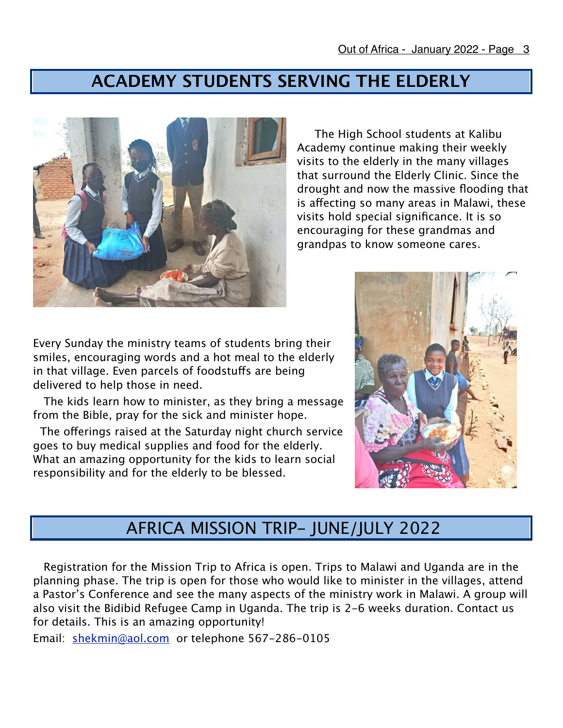### **ACADEMY STUDENTS SERVING THE ELDERLY**



 The High School students at Kalibu Academy continue making their weekly visits to the elderly in the many villages that surround the Elderly Clinic. Since the drought and now the massive flooding that is afecting so many areas in Malawi, these visits hold special significance. It is so encouraging for these grandmas and grandpas to know someone cares.

Every Sunday the ministry teams of students bring their smiles, encouraging words and a hot meal to the elderly in that village. Even parcels of foodstufs are being delivered to help those in need.

 The kids learn how to minister, as they bring a message from the Bible, pray for the sick and minister hope.

The offerings raised at the Saturday night church service goes to buy medical supplies and food for the elderly. What an amazing opportunity for the kids to learn social responsibility and for the elderly to be blessed.



# AFRICA MISSION TRIP- JUNE/JULY 2022

 Registration for the Mission Trip to Africa is open. Trips to Malawi and Uganda are in the planning phase. The trip is open for those who would like to minister in the villages, attend a Pastor's Conference and see the many aspects of the ministry work in Malawi. A group will also visit the Bidibid Refugee Camp in Uganda. The trip is 2-6 weeks duration. Contact us for details. This is an amazing opportunity!

Email: [shekmin@aol.com](mailto:shekmin@aol.com) or telephone 567-286-0105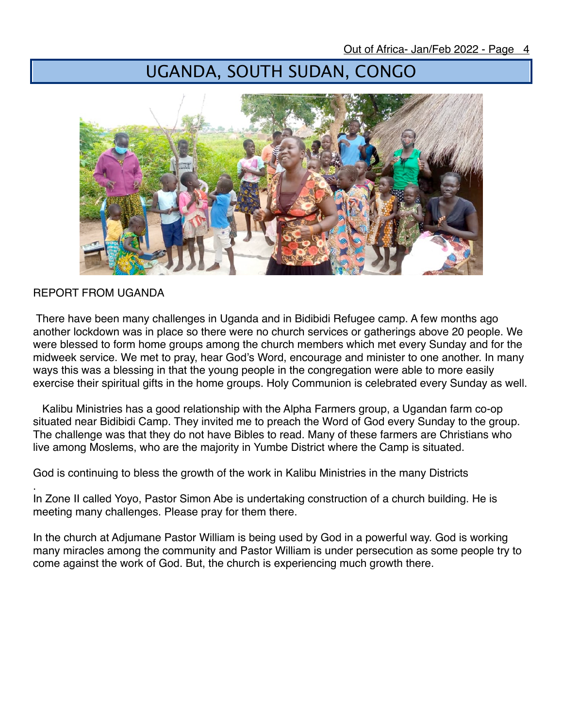# UGANDA, SOUTH SUDAN, CONGO



#### REPORT FROM UGANDA

 There have been many challenges in Uganda and in Bidibidi Refugee camp. A few months ago another lockdown was in place so there were no church services or gatherings above 20 people. We were blessed to form home groups among the church members which met every Sunday and for the midweek service. We met to pray, hear God's Word, encourage and minister to one another. In many ways this was a blessing in that the young people in the congregation were able to more easily exercise their spiritual gifts in the home groups. Holy Communion is celebrated every Sunday as well.

 Kalibu Ministries has a good relationship with the Alpha Farmers group, a Ugandan farm co-op situated near Bidibidi Camp. They invited me to preach the Word of God every Sunday to the group. The challenge was that they do not have Bibles to read. Many of these farmers are Christians who live among Moslems, who are the majority in Yumbe District where the Camp is situated.

God is continuing to bless the growth of the work in Kalibu Ministries in the many Districts

. In Zone II called Yoyo, Pastor Simon Abe is undertaking construction of a church building. He is meeting many challenges. Please pray for them there.

In the church at Adjumane Pastor William is being used by God in a powerful way. God is working many miracles among the community and Pastor William is under persecution as some people try to come against the work of God. But, the church is experiencing much growth there.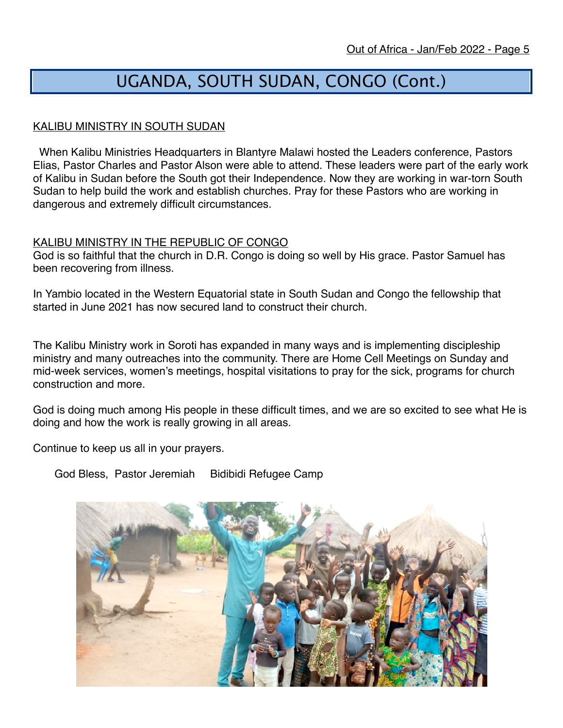# UGANDA, SOUTH SUDAN, CONGO (Cont.)

#### KALIBU MINISTRY IN SOUTH SUDAN

 When Kalibu Ministries Headquarters in Blantyre Malawi hosted the Leaders conference, Pastors Elias, Pastor Charles and Pastor Alson were able to attend. These leaders were part of the early work of Kalibu in Sudan before the South got their Independence. Now they are working in war-torn South Sudan to help build the work and establish churches. Pray for these Pastors who are working in dangerous and extremely difficult circumstances.

#### KALIBU MINISTRY IN THE REPUBLIC OF CONGO

God is so faithful that the church in D.R. Congo is doing so well by His grace. Pastor Samuel has been recovering from illness.

In Yambio located in the Western Equatorial state in South Sudan and Congo the fellowship that started in June 2021 has now secured land to construct their church.

The Kalibu Ministry work in Soroti has expanded in many ways and is implementing discipleship ministry and many outreaches into the community. There are Home Cell Meetings on Sunday and mid-week services, women's meetings, hospital visitations to pray for the sick, programs for church construction and more.

God is doing much among His people in these difficult times, and we are so excited to see what He is doing and how the work is really growing in all areas.

Continue to keep us all in your prayers.

God Bless, Pastor Jeremiah Bidibidi Refugee Camp